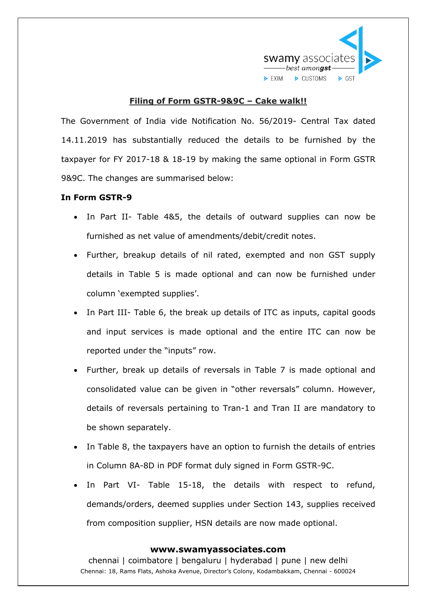

# **Filing of Form GSTR-9&9C – Cake walk!!**

The Government of India vide Notification No. 56/2019- Central Tax dated 14.11.2019 has substantially reduced the details to be furnished by the taxpayer for FY 2017-18 & 18-19 by making the same optional in Form GSTR 9&9C. The changes are summarised below:

## **In Form GSTR-9**

- In Part II- Table 4&5, the details of outward supplies can now be furnished as net value of amendments/debit/credit notes.
- Further, breakup details of nil rated, exempted and non GST supply details in Table 5 is made optional and can now be furnished under column 'exempted supplies'.
- In Part III- Table 6, the break up details of ITC as inputs, capital goods and input services is made optional and the entire ITC can now be reported under the "inputs" row.
- Further, break up details of reversals in Table 7 is made optional and consolidated value can be given in "other reversals" column. However, details of reversals pertaining to Tran-1 and Tran II are mandatory to be shown separately.
- In Table 8, the taxpayers have an option to furnish the details of entries in Column 8A-8D in PDF format duly signed in Form GSTR-9C.
- In Part VI- Table 15-18, the details with respect to refund, demands/orders, deemed supplies under Section 143, supplies received from composition supplier, HSN details are now made optional.

#### **www.swamyassociates.com**

chennai | coimbatore | bengaluru | hyderabad | pune | new delhi Chennai: 18, Rams Flats, Ashoka Avenue, Director's Colony, Kodambakkam, Chennai - 600024